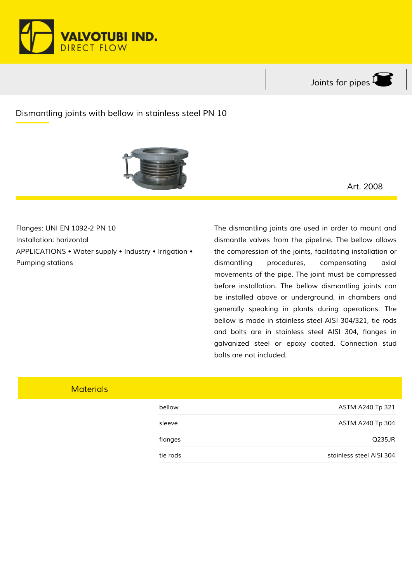



## *Dismantling joints with bellow in stainless steel PN 10*



*Art. 2008*

*Flanges: UNI EN 1092-2 PN 10 Installation: horizontal APPLICATIONS • Water supply • Industry • Irrigation • Pumping stations*

*The dismantling joints are used in order to mount and dismantle valves from the pipeline. The bellow allows the compression of the joints, facilitating installation or dismantling procedures, compensating axial movements of the pipe. The joint must be compressed before installation. The bellow dismantling joints can be installed above or underground, in chambers and generally speaking in plants during operations. The bellow is made in stainless steel AISI 304/321, tie rods and bolts are in stainless steel AISI 304, flanges in galvanized steel or epoxy coated. Connection stud bolts are not included.*

## *Materials*

| bellow   | ASTM A240 Tp 321         |
|----------|--------------------------|
| sleeve   | ASTM A240 Tp 304         |
| flanges  | Q235JR                   |
| tie rods | stainless steel AISI 304 |